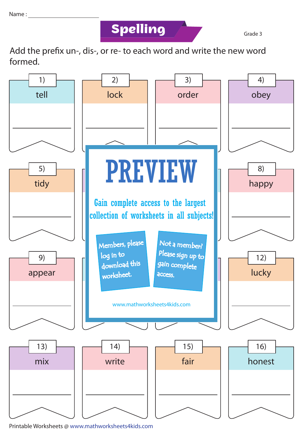## **Spelling Grade 3**

Add the prefix un-, dis-, or re- to each word and write the new word formed.



Printable Worksheets @ www.mathworksheets4kids.com